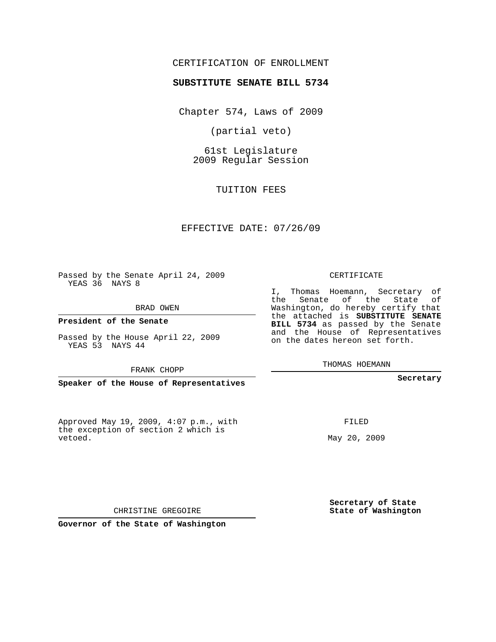## CERTIFICATION OF ENROLLMENT

#### **SUBSTITUTE SENATE BILL 5734**

Chapter 574, Laws of 2009

(partial veto)

61st Legislature 2009 Regular Session

TUITION FEES

#### EFFECTIVE DATE: 07/26/09

Passed by the Senate April 24, 2009 YEAS 36 NAYS 8

BRAD OWEN

**President of the Senate**

Passed by the House April 22, 2009 YEAS 53 NAYS 44

FRANK CHOPP

**Speaker of the House of Representatives**

Approved May 19, 2009, 4:07 p.m., with the exception of section 2 which is vetoed.

CERTIFICATE

I, Thomas Hoemann, Secretary of the Senate of the State of Washington, do hereby certify that the attached is **SUBSTITUTE SENATE BILL 5734** as passed by the Senate and the House of Representatives on the dates hereon set forth.

THOMAS HOEMANN

**Secretary**

FILED

May 20, 2009

**Secretary of State State of Washington**

CHRISTINE GREGOIRE

**Governor of the State of Washington**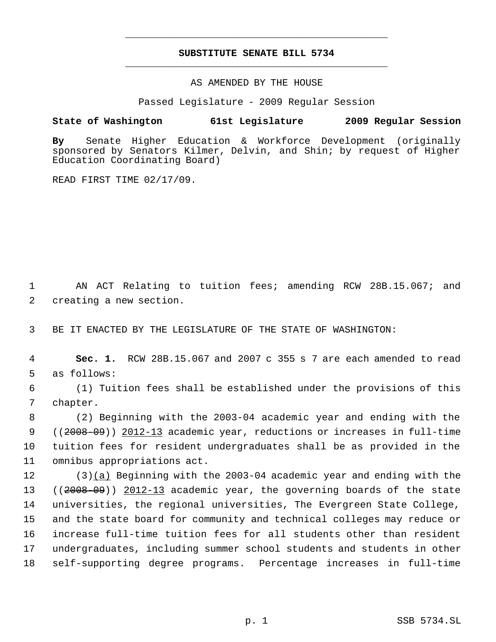# **SUBSTITUTE SENATE BILL 5734** \_\_\_\_\_\_\_\_\_\_\_\_\_\_\_\_\_\_\_\_\_\_\_\_\_\_\_\_\_\_\_\_\_\_\_\_\_\_\_\_\_\_\_\_\_

\_\_\_\_\_\_\_\_\_\_\_\_\_\_\_\_\_\_\_\_\_\_\_\_\_\_\_\_\_\_\_\_\_\_\_\_\_\_\_\_\_\_\_\_\_

AS AMENDED BY THE HOUSE

Passed Legislature - 2009 Regular Session

### **State of Washington 61st Legislature 2009 Regular Session**

**By** Senate Higher Education & Workforce Development (originally sponsored by Senators Kilmer, Delvin, and Shin; by request of Higher Education Coordinating Board)

READ FIRST TIME 02/17/09.

 1 AN ACT Relating to tuition fees; amending RCW 28B.15.067; and 2 creating a new section.

3 BE IT ENACTED BY THE LEGISLATURE OF THE STATE OF WASHINGTON:

 4 **Sec. 1.** RCW 28B.15.067 and 2007 c 355 s 7 are each amended to read 5 as follows:

 6 (1) Tuition fees shall be established under the provisions of this 7 chapter.

 (2) Beginning with the 2003-04 academic year and ending with the 9 ((<del>2008-09</del>)) <u>2012-13</u> academic year, reductions or increases in full-time tuition fees for resident undergraduates shall be as provided in the omnibus appropriations act.

 (3)(a) Beginning with the 2003-04 academic year and ending with the 13 ((<del>2008-09</del>)) 2012-13 academic year, the governing boards of the state universities, the regional universities, The Evergreen State College, and the state board for community and technical colleges may reduce or increase full-time tuition fees for all students other than resident undergraduates, including summer school students and students in other self-supporting degree programs. Percentage increases in full-time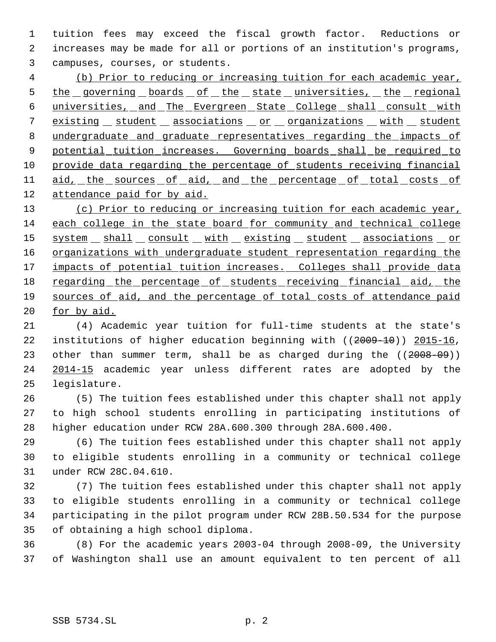tuition fees may exceed the fiscal growth factor. Reductions or increases may be made for all or portions of an institution's programs, campuses, courses, or students.

 (b) Prior to reducing or increasing tuition for each academic year, 5 the governing boards of the state universities, the regional universities, and The Evergreen State College shall consult with 7 existing student associations or organizations with student 8 undergraduate and graduate representatives regarding the impacts of 9 potential tuition increases. Governing boards shall be required to 10 provide data regarding the percentage of students receiving financial 11 aid, the sources of aid, and the percentage of total costs of attendance paid for by aid.

 (c) Prior to reducing or increasing tuition for each academic year, each college in the state board for community and technical college 15 system shall consult with existing student associations or 16 organizations with undergraduate student representation regarding the 17 impacts of potential tuition increases. Colleges shall provide data 18 regarding the percentage of students receiving financial aid, the 19 sources of aid, and the percentage of total costs of attendance paid 20 <u>for by aid.</u>

 (4) Academic year tuition for full-time students at the state's institutions of higher education beginning with ((2009-10)) 2015-16, 23 other than summer term, shall be as charged during the ((2008-09)) 2014-15 academic year unless different rates are adopted by the legislature.

 (5) The tuition fees established under this chapter shall not apply to high school students enrolling in participating institutions of higher education under RCW 28A.600.300 through 28A.600.400.

 (6) The tuition fees established under this chapter shall not apply to eligible students enrolling in a community or technical college under RCW 28C.04.610.

 (7) The tuition fees established under this chapter shall not apply to eligible students enrolling in a community or technical college participating in the pilot program under RCW 28B.50.534 for the purpose of obtaining a high school diploma.

 (8) For the academic years 2003-04 through 2008-09, the University of Washington shall use an amount equivalent to ten percent of all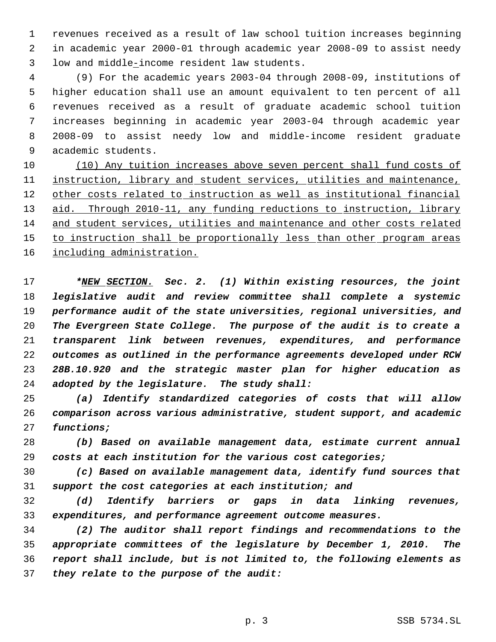revenues received as a result of law school tuition increases beginning in academic year 2000-01 through academic year 2008-09 to assist needy low and middle-income resident law students.

 (9) For the academic years 2003-04 through 2008-09, institutions of higher education shall use an amount equivalent to ten percent of all revenues received as a result of graduate academic school tuition increases beginning in academic year 2003-04 through academic year 2008-09 to assist needy low and middle-income resident graduate academic students.

 (10) Any tuition increases above seven percent shall fund costs of 11 instruction, library and student services, utilities and maintenance, 12 other costs related to instruction as well as institutional financial 13 aid. Through 2010-11, any funding reductions to instruction, library and student services, utilities and maintenance and other costs related 15 to instruction shall be proportionally less than other program areas 16 including administration.

 *\*NEW SECTION. Sec. 2. (1) Within existing resources, the joint legislative audit and review committee shall complete a systemic performance audit of the state universities, regional universities, and The Evergreen State College. The purpose of the audit is to create a transparent link between revenues, expenditures, and performance outcomes as outlined in the performance agreements developed under RCW 28B.10.920 and the strategic master plan for higher education as adopted by the legislature. The study shall:*

 *(a) Identify standardized categories of costs that will allow comparison across various administrative, student support, and academic functions;*

 *(b) Based on available management data, estimate current annual costs at each institution for the various cost categories;*

 *(c) Based on available management data, identify fund sources that support the cost categories at each institution; and*

 *(d) Identify barriers or gaps in data linking revenues, expenditures, and performance agreement outcome measures.*

 *(2) The auditor shall report findings and recommendations to the appropriate committees of the legislature by December 1, 2010. The report shall include, but is not limited to, the following elements as they relate to the purpose of the audit:*